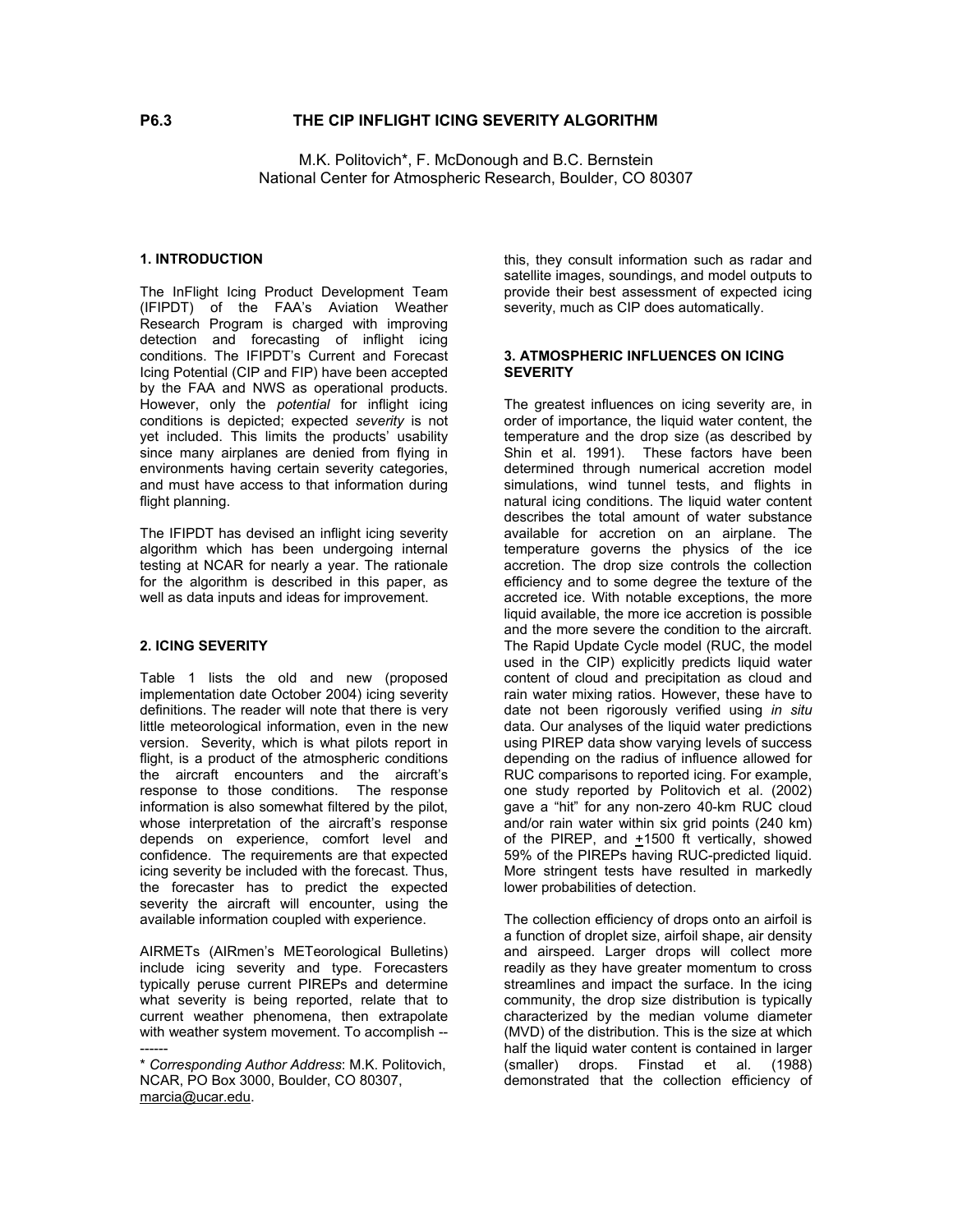M.K. Politovich\*, F. McDonough and B.C. Bernstein National Center for Atmospheric Research, Boulder, CO 80307

## **1. INTRODUCTION**

The InFlight Icing Product Development Team (IFIPDT) of the FAA's Aviation Weather Research Program is charged with improving detection and forecasting of inflight icing conditions. The IFIPDT's Current and Forecast Icing Potential (CIP and FIP) have been accepted by the FAA and NWS as operational products. However, only the *potential* for inflight icing conditions is depicted; expected *severity* is not yet included. This limits the products' usability since many airplanes are denied from flying in environments having certain severity categories, and must have access to that information during flight planning.

The IFIPDT has devised an inflight icing severity algorithm which has been undergoing internal testing at NCAR for nearly a year. The rationale for the algorithm is described in this paper, as well as data inputs and ideas for improvement.

### **2. ICING SEVERITY**

Table 1 lists the old and new (proposed implementation date October 2004) icing severity definitions. The reader will note that there is very little meteorological information, even in the new version. Severity, which is what pilots report in flight, is a product of the atmospheric conditions the aircraft encounters and the aircraft's response to those conditions. The response information is also somewhat filtered by the pilot, whose interpretation of the aircraft's response depends on experience, comfort level and confidence. The requirements are that expected icing severity be included with the forecast. Thus, the forecaster has to predict the expected severity the aircraft will encounter, using the available information coupled with experience.

AIRMETs (AIRmen's METeorological Bulletins) include icing severity and type. Forecasters typically peruse current PIREPs and determine what severity is being reported, relate that to current weather phenomena, then extrapolate with weather system movement. To accomplish -- ------

this, they consult information such as radar and satellite images, soundings, and model outputs to provide their best assessment of expected icing severity, much as CIP does automatically.

### **3. ATMOSPHERIC INFLUENCES ON ICING SEVERITY**

The greatest influences on icing severity are, in order of importance, the liquid water content, the temperature and the drop size (as described by Shin et al. 1991). These factors have been determined through numerical accretion model simulations, wind tunnel tests, and flights in natural icing conditions. The liquid water content describes the total amount of water substance available for accretion on an airplane. The temperature governs the physics of the ice accretion. The drop size controls the collection efficiency and to some degree the texture of the accreted ice. With notable exceptions, the more liquid available, the more ice accretion is possible and the more severe the condition to the aircraft. The Rapid Update Cycle model (RUC, the model used in the CIP) explicitly predicts liquid water content of cloud and precipitation as cloud and rain water mixing ratios. However, these have to date not been rigorously verified using *in situ* data. Our analyses of the liquid water predictions using PIREP data show varying levels of success depending on the radius of influence allowed for RUC comparisons to reported icing. For example, one study reported by Politovich et al. (2002) gave a "hit" for any non-zero 40-km RUC cloud and/or rain water within six grid points (240 km) of the PIREP, and  $+1500$  ft vertically, showed 59% of the PIREPs having RUC-predicted liquid. More stringent tests have resulted in markedly lower probabilities of detection.

The collection efficiency of drops onto an airfoil is a function of droplet size, airfoil shape, air density and airspeed. Larger drops will collect more readily as they have greater momentum to cross streamlines and impact the surface. In the icing community, the drop size distribution is typically characterized by the median volume diameter (MVD) of the distribution. This is the size at which half the liquid water content is contained in larger (smaller) drops. Finstad et al. (1988) demonstrated that the collection efficiency of

<sup>\*</sup> *Corresponding Author Address*: M.K. Politovich, NCAR, PO Box 3000, Boulder, CO 80307, marcia@ucar.edu.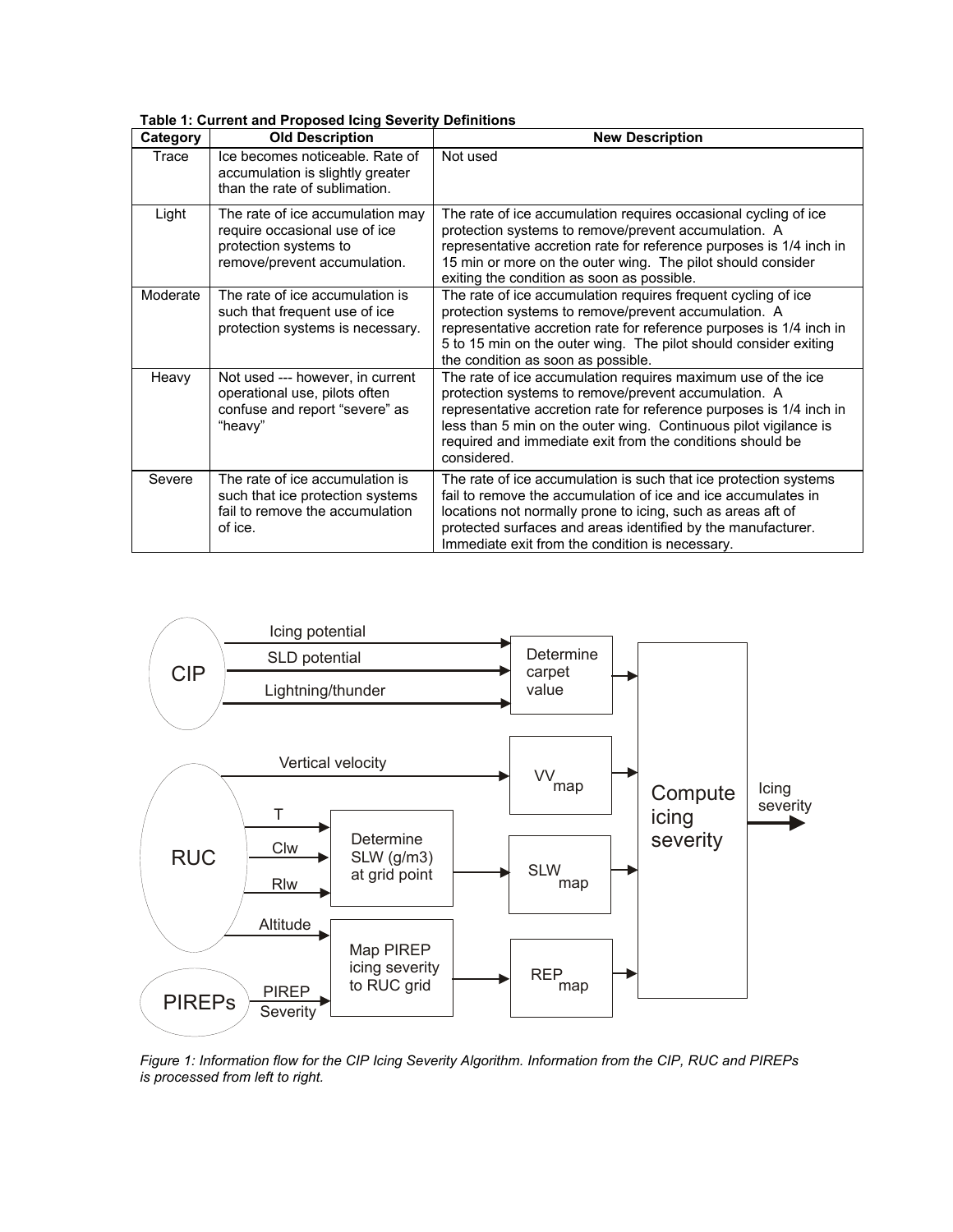| Category | <b>Old Description</b>                                                                                                     | <b>New Description</b>                                                                                                                                                                                                                                                                                                                      |
|----------|----------------------------------------------------------------------------------------------------------------------------|---------------------------------------------------------------------------------------------------------------------------------------------------------------------------------------------------------------------------------------------------------------------------------------------------------------------------------------------|
| Trace    | Ice becomes noticeable. Rate of<br>accumulation is slightly greater<br>than the rate of sublimation.                       | Not used                                                                                                                                                                                                                                                                                                                                    |
| Light    | The rate of ice accumulation may<br>require occasional use of ice<br>protection systems to<br>remove/prevent accumulation. | The rate of ice accumulation requires occasional cycling of ice<br>protection systems to remove/prevent accumulation. A<br>representative accretion rate for reference purposes is 1/4 inch in<br>15 min or more on the outer wing. The pilot should consider<br>exiting the condition as soon as possible.                                 |
| Moderate | The rate of ice accumulation is<br>such that frequent use of ice<br>protection systems is necessary.                       | The rate of ice accumulation requires frequent cycling of ice<br>protection systems to remove/prevent accumulation. A<br>representative accretion rate for reference purposes is 1/4 inch in<br>5 to 15 min on the outer wing. The pilot should consider exiting<br>the condition as soon as possible.                                      |
| Heavy    | Not used --- however, in current<br>operational use, pilots often<br>confuse and report "severe" as<br>"heavy"             | The rate of ice accumulation requires maximum use of the ice<br>protection systems to remove/prevent accumulation. A<br>representative accretion rate for reference purposes is 1/4 inch in<br>less than 5 min on the outer wing. Continuous pilot vigilance is<br>required and immediate exit from the conditions should be<br>considered. |
| Severe   | The rate of ice accumulation is<br>such that ice protection systems<br>fail to remove the accumulation<br>of ice.          | The rate of ice accumulation is such that ice protection systems<br>fail to remove the accumulation of ice and ice accumulates in<br>locations not normally prone to icing, such as areas aft of<br>protected surfaces and areas identified by the manufacturer.<br>Immediate exit from the condition is necessary.                         |

**Table 1: Current and Proposed Icing Severity Definitions** 



*Figure 1: Information flow for the CIP Icing Severity Algorithm. Information from the CIP, RUC and PIREPs is processed from left to right.*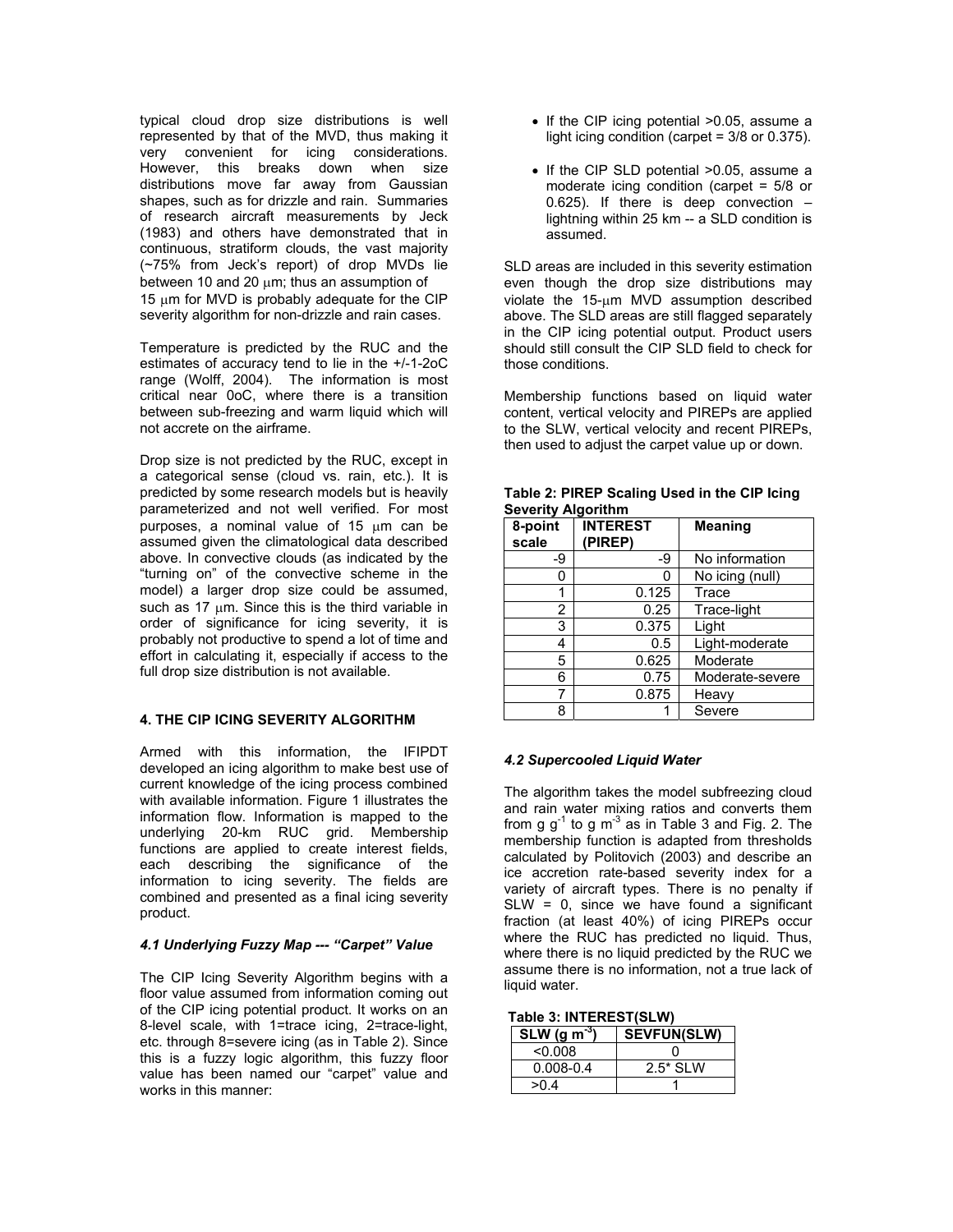typical cloud drop size distributions is well represented by that of the MVD, thus making it very convenient for icing considerations. However, this breaks down when size distributions move far away from Gaussian shapes, such as for drizzle and rain. Summaries of research aircraft measurements by Jeck (1983) and others have demonstrated that in continuous, stratiform clouds, the vast majority (~75% from Jeck's report) of drop MVDs lie between 10 and 20  $\mu$ m; thus an assumption of 15  $\mu$ m for MVD is probably adequate for the CIP severity algorithm for non-drizzle and rain cases.

Temperature is predicted by the RUC and the estimates of accuracy tend to lie in the +/-1-2oC range (Wolff, 2004). The information is most critical near 0oC, where there is a transition between sub-freezing and warm liquid which will not accrete on the airframe.

Drop size is not predicted by the RUC, except in a categorical sense (cloud vs. rain, etc.). It is predicted by some research models but is heavily parameterized and not well verified. For most purposes, a nominal value of 15 µm can be assumed given the climatological data described above. In convective clouds (as indicated by the "turning on" of the convective scheme in the model) a larger drop size could be assumed, such as 17  $\mu$ m. Since this is the third variable in order of significance for icing severity, it is probably not productive to spend a lot of time and effort in calculating it, especially if access to the full drop size distribution is not available.

## **4. THE CIP ICING SEVERITY ALGORITHM**

Armed with this information, the IFIPDT developed an icing algorithm to make best use of current knowledge of the icing process combined with available information. Figure 1 illustrates the information flow. Information is mapped to the underlying 20-km RUC grid. Membership functions are applied to create interest fields, each describing the significance of the information to icing severity. The fields are combined and presented as a final icing severity product.

# *4.1 Underlying Fuzzy Map --- "Carpet" Value*

The CIP Icing Severity Algorithm begins with a floor value assumed from information coming out of the CIP icing potential product. It works on an 8-level scale, with 1=trace icing, 2=trace-light, etc. through 8=severe icing (as in Table 2). Since this is a fuzzy logic algorithm, this fuzzy floor value has been named our "carpet" value and works in this manner:

- If the CIP icing potential >0.05, assume a light icing condition (carpet = 3/8 or 0.375).
- If the CIP SLD potential >0.05, assume a moderate icing condition (carpet = 5/8 or 0.625). If there is deep convection  $$ lightning within 25 km -- a SLD condition is assumed.

SLD areas are included in this severity estimation even though the drop size distributions may violate the 15-µm MVD assumption described above. The SLD areas are still flagged separately in the CIP icing potential output. Product users should still consult the CIP SLD field to check for those conditions.

Membership functions based on liquid water content, vertical velocity and PIREPs are applied to the SLW, vertical velocity and recent PIREPs, then used to adjust the carpet value up or down.

| 8-point<br>scale | <b>INTEREST</b><br>(PIREP) | <b>Meaning</b>  |
|------------------|----------------------------|-----------------|
| -9               | -9                         | No information  |
| 0                | n                          | No icing (null) |
| 1                | 0.125                      | Trace           |
| 2                | 0.25                       | Trace-light     |
| 3                | 0.375                      | Light           |
| 4                | 0.5                        | Light-moderate  |
| 5                | 0.625                      | Moderate        |
| 6                | 0.75                       | Moderate-severe |
| 7                | 0.875                      | Heavy           |
| 8                |                            | Severe          |

#### **Table 2: PIREP Scaling Used in the CIP Icing Severity Algorithm**

## *4.2 Supercooled Liquid Water*

The algorithm takes the model subfreezing cloud and rain water mixing ratios and converts them from g  $g^{-1}$  to g m<sup>-3</sup> as in Table 3 and Fig. 2. The membership function is adapted from thresholds calculated by Politovich (2003) and describe an ice accretion rate-based severity index for a variety of aircraft types. There is no penalty if  $SLW = 0$ , since we have found a significant fraction (at least 40%) of icing PIREPs occur where the RUC has predicted no liquid. Thus, where there is no liquid predicted by the RUC we assume there is no information, not a true lack of liquid water.

| Table 3: INTEREST(SLW) |  |
|------------------------|--|
|------------------------|--|

| SLW (g m <sup><math>\degree</math>)</sup> | <b>SEVFUN(SLW)</b> |
|-------------------------------------------|--------------------|
| < 0.008                                   |                    |
| $0.008 - 0.4$                             | $2.5*$ SI W        |
| >04                                       |                    |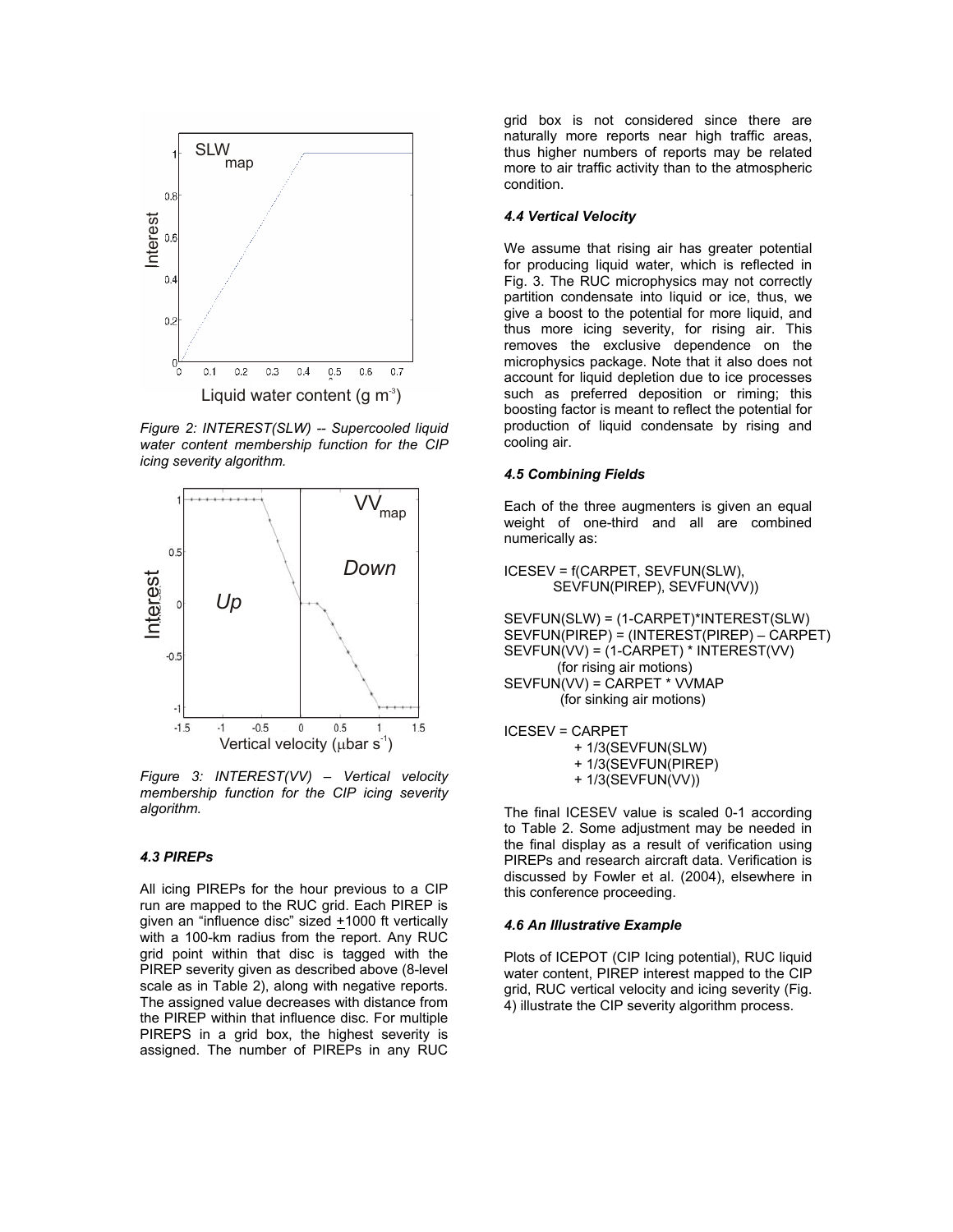

*Figure 2: INTEREST(SLW) -- Supercooled liquid water content membership function for the CIP icing severity algorithm.* 



*Figure 3: INTEREST(VV) – Vertical velocity membership function for the CIP icing severity algorithm.* 

### *4.3 PIREPs*

All icing PIREPs for the hour previous to a CIP run are mapped to the RUC grid. Each PIREP is given an "influence disc" sized  $+1000$  ft vertically with a 100-km radius from the report. Any RUC grid point within that disc is tagged with the PIREP severity given as described above (8-level scale as in Table 2), along with negative reports. The assigned value decreases with distance from the PIREP within that influence disc. For multiple PIREPS in a grid box, the highest severity is assigned. The number of PIREPs in any RUC

grid box is not considered since there are naturally more reports near high traffic areas, thus higher numbers of reports may be related more to air traffic activity than to the atmospheric condition.

#### *4.4 Vertical Velocity*

We assume that rising air has greater potential for producing liquid water, which is reflected in Fig. 3. The RUC microphysics may not correctly partition condensate into liquid or ice, thus, we give a boost to the potential for more liquid, and thus more icing severity, for rising air. This removes the exclusive dependence on the microphysics package. Note that it also does not account for liquid depletion due to ice processes such as preferred deposition or riming; this boosting factor is meant to reflect the potential for production of liquid condensate by rising and cooling air.

### *4.5 Combining Fields*

Each of the three augmenters is given an equal weight of one-third and all are combined numerically as:

ICESEV = f(CARPET, SEVFUN(SLW), SEVFUN(PIREP), SEVFUN(VV))

SEVFUN(SLW) = (1-CARPET)\*INTEREST(SLW) SEVFUN(PIREP) = (INTEREST(PIREP) – CARPET) SEVFUN(VV) = (1-CARPET) \* INTEREST(VV) (for rising air motions) SEVFUN(VV) = CARPET \* VVMAP (for sinking air motions)

ICESEV = CARPET + 1/3(SEVFUN(SLW)

+ 1/3(SEVFUN(PIREP)

+ 1/3(SEVFUN(VV))

The final ICESEV value is scaled 0-1 according to Table 2. Some adjustment may be needed in the final display as a result of verification using PIREPs and research aircraft data. Verification is discussed by Fowler et al. (2004), elsewhere in this conference proceeding.

### *4.6 An Illustrative Example*

Plots of ICEPOT (CIP Icing potential), RUC liquid water content, PIREP interest mapped to the CIP grid, RUC vertical velocity and icing severity (Fig. 4) illustrate the CIP severity algorithm process.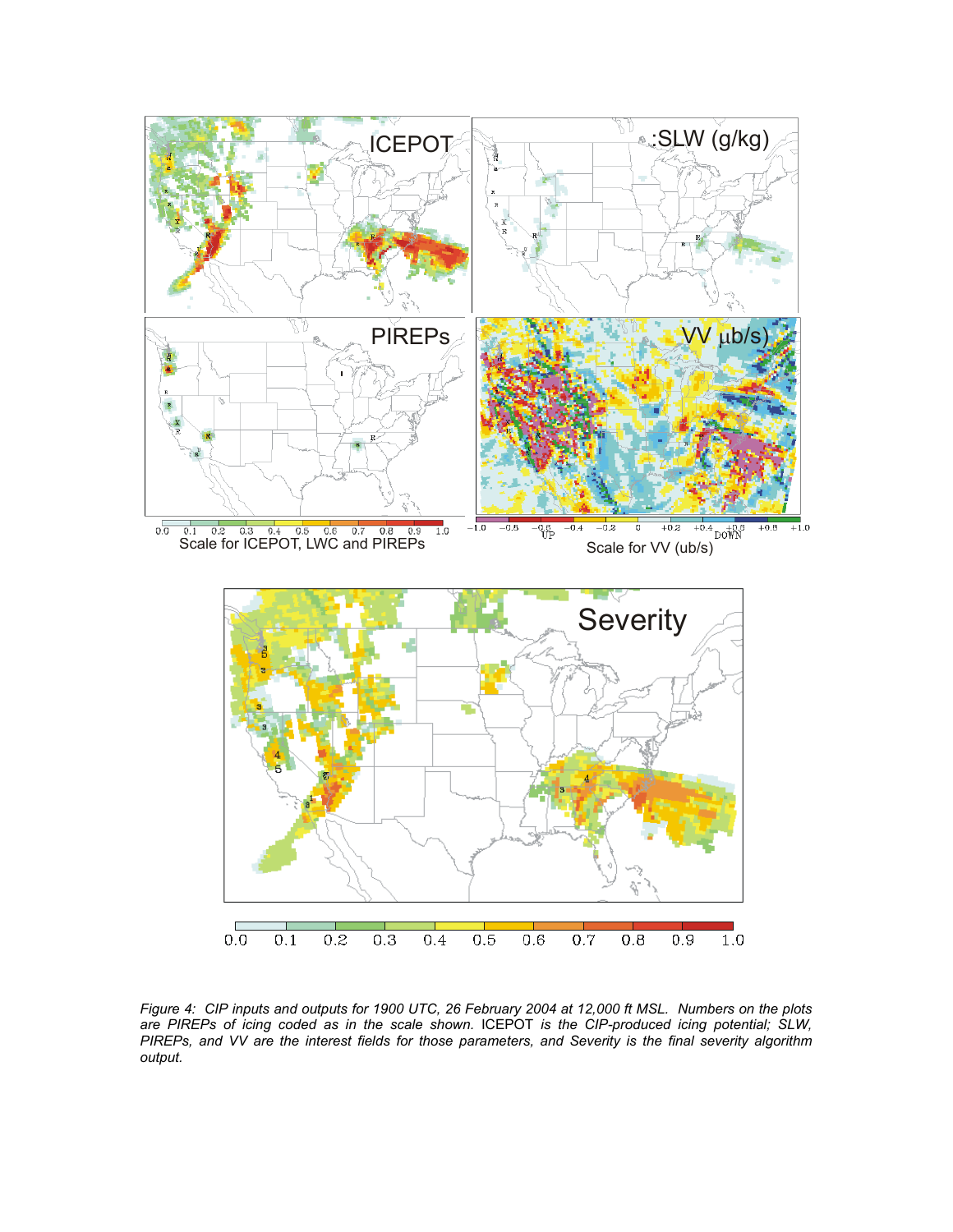

*Figure 4: CIP inputs and outputs for 1900 UTC, 26 February 2004 at 12,000 ft MSL. Numbers on the plots are PIREPs of icing coded as in the scale shown.* ICEPOT *is the CIP-produced icing potential; SLW, PIREPs, and VV are the interest fields for those parameters, and Severity is the final severity algorithm output.*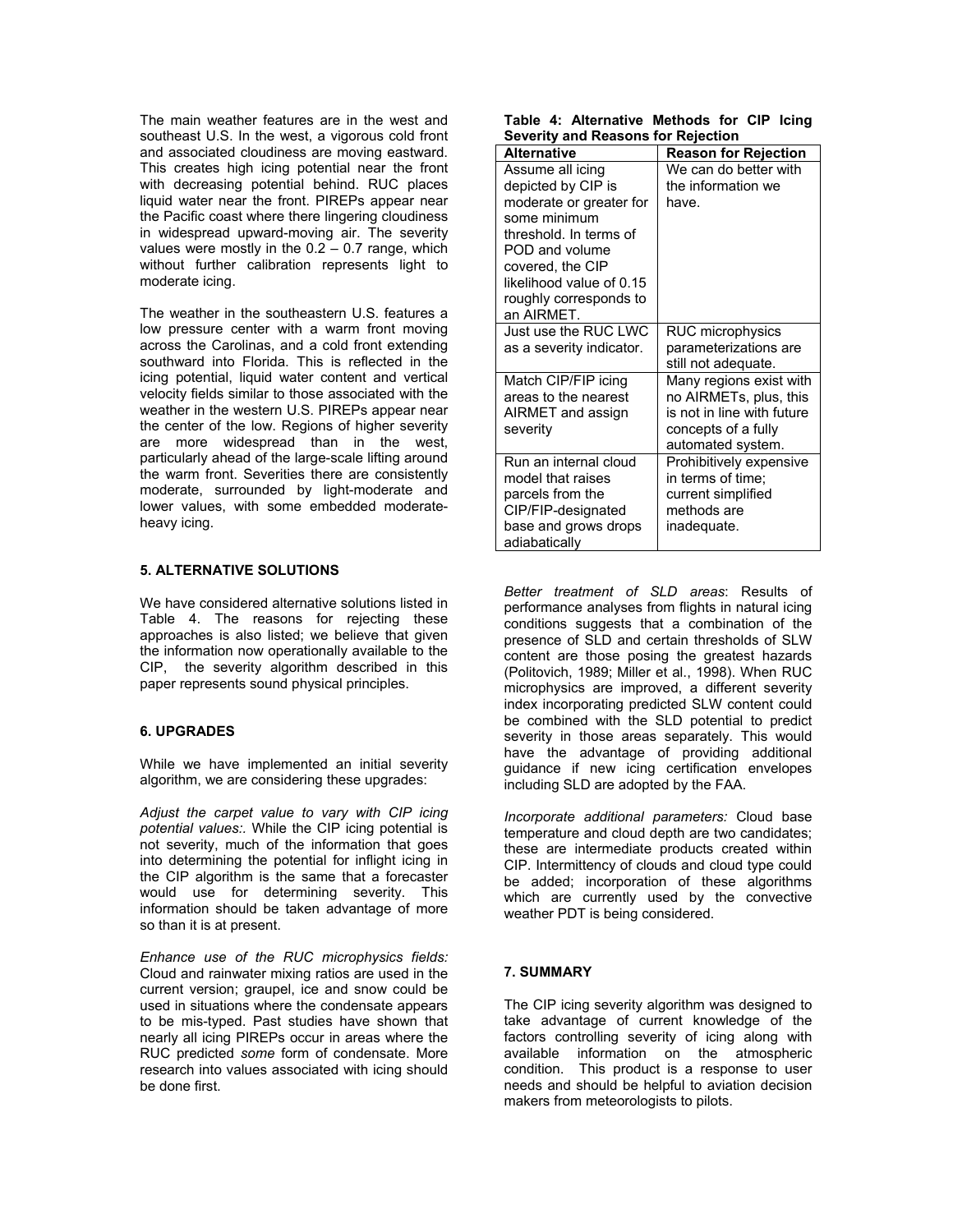The main weather features are in the west and southeast U.S. In the west, a vigorous cold front and associated cloudiness are moving eastward. This creates high icing potential near the front with decreasing potential behind. RUC places liquid water near the front. PIREPs appear near the Pacific coast where there lingering cloudiness in widespread upward-moving air. The severity values were mostly in the  $0.2 - 0.7$  range, which without further calibration represents light to moderate icing.

The weather in the southeastern U.S. features a low pressure center with a warm front moving across the Carolinas, and a cold front extending southward into Florida. This is reflected in the icing potential, liquid water content and vertical velocity fields similar to those associated with the weather in the western U.S. PIREPs appear near the center of the low. Regions of higher severity are more widespread than in the west, particularly ahead of the large-scale lifting around the warm front. Severities there are consistently moderate, surrounded by light-moderate and lower values, with some embedded moderateheavy icing.

### **5. ALTERNATIVE SOLUTIONS**

We have considered alternative solutions listed in Table 4. The reasons for rejecting these approaches is also listed; we believe that given the information now operationally available to the CIP, the severity algorithm described in this paper represents sound physical principles.

## **6. UPGRADES**

While we have implemented an initial severity algorithm, we are considering these upgrades:

*Adjust the carpet value to vary with CIP icing potential values:.* While the CIP icing potential is not severity, much of the information that goes into determining the potential for inflight icing in the CIP algorithm is the same that a forecaster would use for determining severity. This information should be taken advantage of more so than it is at present.

*Enhance use of the RUC microphysics fields:*  Cloud and rainwater mixing ratios are used in the current version; graupel, ice and snow could be used in situations where the condensate appears to be mis-typed. Past studies have shown that nearly all icing PIREPs occur in areas where the RUC predicted *some* form of condensate. More research into values associated with icing should be done first.

|  | Table 4: Alternative Methods for CIP Icing |  |  |  |
|--|--------------------------------------------|--|--|--|
|  | <b>Severity and Reasons for Rejection</b>  |  |  |  |

| <b>Alternative</b>                                                                                                                                                                                                    | <b>Reason for Rejection</b>                                                                                                 |
|-----------------------------------------------------------------------------------------------------------------------------------------------------------------------------------------------------------------------|-----------------------------------------------------------------------------------------------------------------------------|
| Assume all icing<br>depicted by CIP is<br>moderate or greater for<br>some minimum<br>threshold. In terms of<br>POD and volume<br>covered, the CIP<br>likelihood value of 0.15<br>roughly corresponds to<br>an AIRMET. | We can do better with<br>the information we<br>have.                                                                        |
| Just use the RUC LWC<br>as a severity indicator.                                                                                                                                                                      | RUC microphysics<br>parameterizations are<br>still not adequate.                                                            |
| Match CIP/FIP icing<br>areas to the nearest<br>AIRMET and assign<br>severity                                                                                                                                          | Many regions exist with<br>no AIRMETs, plus, this<br>is not in line with future<br>concepts of a fully<br>automated system. |
| Run an internal cloud<br>model that raises<br>parcels from the<br>CIP/FIP-designated<br>base and grows drops<br>adiabatically                                                                                         | Prohibitively expensive<br>in terms of time:<br>current simplified<br>methods are<br>inadequate.                            |

*Better treatment of SLD areas*: Results of performance analyses from flights in natural icing conditions suggests that a combination of the presence of SLD and certain thresholds of SLW content are those posing the greatest hazards (Politovich, 1989; Miller et al., 1998). When RUC microphysics are improved, a different severity index incorporating predicted SLW content could be combined with the SLD potential to predict severity in those areas separately. This would have the advantage of providing additional guidance if new icing certification envelopes including SLD are adopted by the FAA.

*Incorporate additional parameters:* Cloud base temperature and cloud depth are two candidates; these are intermediate products created within CIP. Intermittency of clouds and cloud type could be added; incorporation of these algorithms which are currently used by the convective weather PDT is being considered.

## **7. SUMMARY**

The CIP icing severity algorithm was designed to take advantage of current knowledge of the factors controlling severity of icing along with available information on the atmospheric condition. This product is a response to user needs and should be helpful to aviation decision makers from meteorologists to pilots.